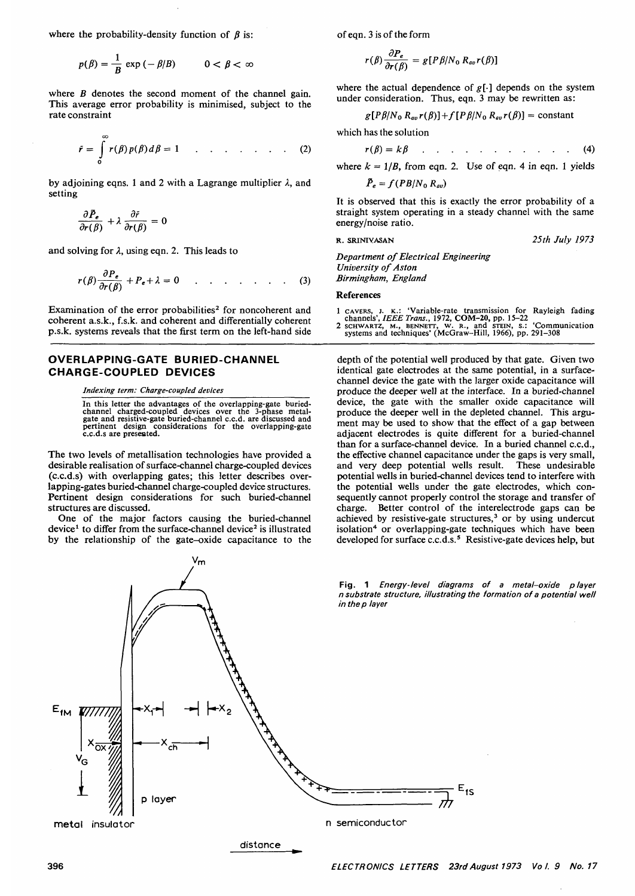where the probability-density function of  $\beta$  is:

$$
p(\beta) = \frac{1}{B} \exp(-\beta/B) \qquad 0 < \beta < \infty
$$

where *B* denotes the second moment of the channel gain. This average error probability is minimised, subject to the rate constraint

$$
\tilde{r} = \int_{0}^{\infty} r(\beta) p(\beta) d\beta = 1 \qquad \dots \qquad (2)
$$

by adjoining eqns. 1 and 2 with a Lagrange multiplier  $\lambda$ , and setting

$$
\frac{\partial \bar{P}_e}{\partial r(\beta)} + \lambda \frac{\partial \tilde{r}}{\partial r(\beta)} = 0
$$

and solving for  $\lambda$ , using eqn. 2. This leads to

$$
r(\beta)\frac{\partial P_e}{\partial r(\beta)} + P_e + \lambda = 0 \qquad \qquad \dots \qquad (3)
$$

Examination of the error probabilities<sup>2</sup> for noncoherent and coherent a.s.k., f.s.k. and coherent and differentially coherent p.s.k. systems reveals that the first term on the left-hand side

## **OVERLAPPING-GATE BURIED-CHANNEL CHARGE-COUPLED DEVICES**

*Indexing term: Charge-coupled devices*

In this letter the advantages of the overlapping-gate buried- channel charged-coupled devices over the 3-phase metal- gate and resistive-gate buried-channel c.c.d. are discussed and pertinent design considerations for the overlapping-gate c.c.d.s are presented.

The two levels of metallisation technologies have provided a desirable realisation of surface-channel charge-coupled devices (c.c.d.s) with overlapping gates; this letter describes over-<br>lapping-gates buried-channel charge-coupled device structures. Pertinent design considerations for such buried-channel structures are discussed.

One of the major factors causing the buried-channel device<sup>1</sup> to differ from the surface-channel device<sup>2</sup> is illustrated by the relationship of the gate-oxide capacitance to the

 $\epsilon$ h

p layer

٧m

**metal** insulator n semiconductor

distance

of eqn. 3 is of the form

$$
r(\beta)\frac{\partial P_e}{\partial r(\beta)}=g[P\beta/N_0 R_{av}r(\beta)]
$$

where the actual dependence of  $g[\cdot]$  depends on the system under consideration. Thus, eqn. 3 may be rewritten as:

$$
g[P\beta/N_0 R_{av}r(\beta)]+f[P\beta/N_0 R_{av}r(\beta)] = constant
$$

which has the solution

$$
r(\beta) = k\beta \qquad \qquad \ldots \qquad \qquad \ldots \qquad \qquad \ldots \qquad \qquad (4)
$$

where  $k = 1/B$ , from eqn. 2. Use of eqn. 4 in eqn. 1 yields

 $\bar{P}_e = f(PB/N_0 R_{av})$ 

It is observed that this is exactly the error probability of a straight system operating in a steady channel with the same energy/noise ratio.

**R. SRINIYASAN** *25th July 1973*

*Department of Electrical Engineering University of Aston Birmingham, England*

## References

- 1 CAVERS, J. K.: 'Variable-rate transmission for Rayleigh fading<br>channels', IEEE Trans., 1972, COM-20, pp. 15-22<br>SCHWARTZ, M., BENNETT, W. R., and STEIN, S.: 'Communication<br>systems and techniques' (McGraw-Hill, 1966), pp.
- 

depth of the potential well produced by that gate. Given two identical gate electrodes at the same potential, in a surfacechannel device the gate with the larger oxide capacitance will produce the deeper well at the interface. In a buried-channel device, the gate with the smaller oxide capacitance will produce the deeper well in the depleted channel. This argument may be used to show that the effect of a gap between adjacent electrodes is quite different for a buried-channel than for a surface-channel device. In a buried channel c.c.d., the effective channel capacitance under the gaps is very small, and very deep potential wells result. These undesirable potential wells in buried-channel devices tend to interfere with sequently cannot properly control the storage and transfer of charge. Better control of the interelectrode gaps can be achieved by resistive-gate structures,<sup>3</sup> or by using undercut isolation<sup>4</sup> or overlapping-gate techniques which have been developed for surface c.c.d.s.5 Resistive-gate devices help, but

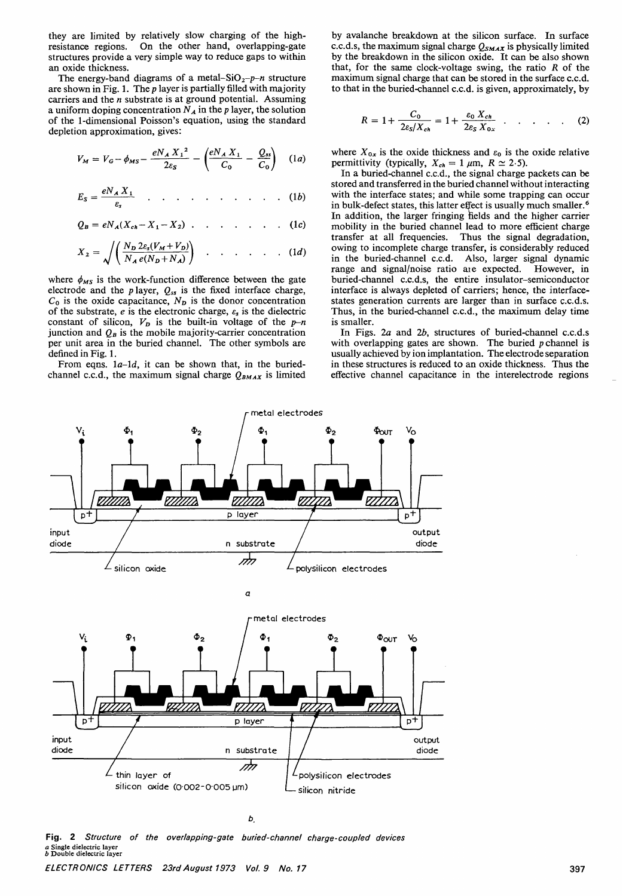they are limited by relatively slow charging of the high-resistance regions. On the other hand, overlapping-gate structures provide a very simple way to reduce gaps to within an oxide thickness.

The energy-band diagrams of a metal-SiO<sub>2</sub>-p-n structure are shown in Fig. 1. The *p* layer is partially filled with majority carriers and the *n* substrate is at ground potential. Assuming a uniform doping concentration  $N_A$  in the *p* layer, the solution of the 1-dimensional Poisson's equation, using the standard depletion approximation, gives:

$$
V_M = V_G - \phi_{MS} - \frac{e N_A X_1^2}{2\varepsilon_S} - \left(\frac{e N_A X_1}{C_0} - \frac{Q_{ss}}{C_0}\right) \quad (1a)
$$

$$
E_S = \frac{eN_A X_1}{\varepsilon_s} \qquad \qquad \ldots \qquad \qquad \ldots \qquad \ldots \qquad (1b)
$$

$$
Q_B = eN_A(X_{ch} - X_1 - X_2) \quad \dots \quad \dots \quad \dots \quad (1c)
$$

$$
X_2 = \sqrt{\left(\frac{N_D 2\varepsilon_s(V_M + V_D)}{N_A e(N_D + N_A)}\right)} \quad \dots \quad \dots \quad \dots \quad (1d)
$$

where  $\phi_{MS}$  is the work-function difference between the gate electrode and the *p* layer,  $Q_{ss}$  is the fixed interface charge,  $C_0$  is the oxide capacitance,  $N_p$  is the donor concentration of the substrate,  $e$  is the electronic charge,  $\varepsilon_s$  is the dielectric constant of silicon,  $V_p$  is the built-in voltage of the  $p-n$ junction and  $Q_B$  is the mobile majority-carrier concentration per unit area in the buried channel. The other symbols are defined in Fig. 1.<br>From eqns.  $1a-1d$ , it can be shown that, in the buried-

channel c.c.d., the maximum signal charge  $Q_{BMAX}$  is limited

by avalanche breakdown at the silicon surface. In surface c.c.d.s, the maximum signal charge  $Q_{SMAX}$  is physically limited by the breakdown in the silicon oxide. It can be also shown that, for the same clock-voltage swing, the ratio *R* of the to that in the buried-channel c.c.d. is given, approximately, by

$$
R = 1 + \frac{C_0}{2\varepsilon_s/X_{ch}} = 1 + \frac{\varepsilon_0 X_{ch}}{2\varepsilon_s X_{0x}} \qquad (2)
$$

where  $X_{0x}$  is the oxide thickness and  $\varepsilon_0$  is the oxide relative permittivity (typically,  $X_{ch} = 1 \mu m$ ,  $R \approx 2.5$ ).

In a buried-channel c.c.d., the signal charge packets can be stored and transferred in the buried channel without interacting with the interface states; and while some trapping can occur in bulk-defect states, this latter effect is usually much smaller.<sup>6</sup> In addition, the larger fringing fields and the higher carrier mobility in the buried channel lead to more efficient charge transfer at all frequencies. Thus the signal degradation, owing to incomplete charge transfer, is considerably reduced in the buried-channel c.c.d. Also, larger signal dynamic range and signal/noise ratio are expected. However, in buried-channel c.c.d.s, the entire insulator-semiconductor interface is always depleted of carriers; hence, the interface-<br>states generation currents are larger than in surface c.c.d.s.<br>Thus, in the buried-channel c.c.d., the maximum delay time is smaller.

In Figs. *2a* and *2b,* structures of buried-channel c.c.d.s with overlapping gates are shown. The buried *p* channel is usually achieved by ion implantation. The electrode separation in these structures is reduced to an oxide thickness. Thus the effective channel capacitance in the interelectrode regions



 $b$ 

Fig. 2 Structure of the overlapping-gate buried-channel charge-coupled devices *<sup>a</sup>* Single dielectric layer *<sup>b</sup>* Double dielectric layer

ELECTRONICS LETTERS 23rd August 1973 Vol. 9 No. 17 397